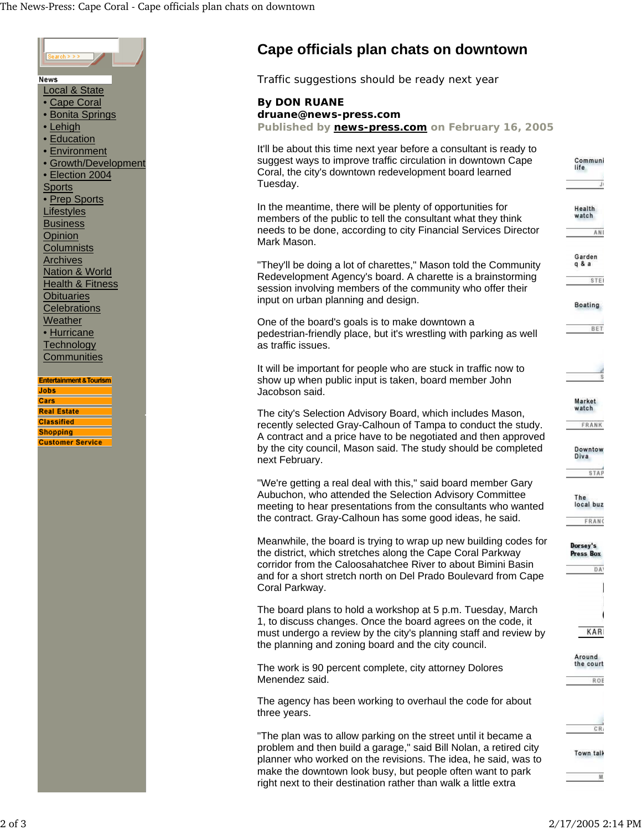

## **Cape officials plan chats on downtown**

Traffic suggestions should be ready next year

## **By DON RUANE**

**druane@news-press.com** 

**Published by news-press.com on February 16, 2005**

| It'll be about this time next year before a consultant is ready to<br>suggest ways to improve traffic circulation in downtown Cape<br>Coral, the city's downtown redevelopment board learned<br>Tuesday.                                                                           | Communi<br>life<br>J)                       |
|------------------------------------------------------------------------------------------------------------------------------------------------------------------------------------------------------------------------------------------------------------------------------------|---------------------------------------------|
| In the meantime, there will be plenty of opportunities for<br>members of the public to tell the consultant what they think<br>needs to be done, according to city Financial Services Director<br>Mark Mason.                                                                       | Health<br>watch<br>ANI                      |
| "They'll be doing a lot of charettes," Mason told the Community<br>Redevelopment Agency's board. A charette is a brainstorming<br>session involving members of the community who offer their<br>input on urban planning and design.                                                | Garden<br>q&a<br><b>STEI</b><br>Boating     |
| One of the board's goals is to make downtown a<br>pedestrian-friendly place, but it's wrestling with parking as well<br>as traffic issues.                                                                                                                                         | BET                                         |
| It will be important for people who are stuck in traffic now to<br>show up when public input is taken, board member John<br>Jacobson said.                                                                                                                                         | s                                           |
| The city's Selection Advisory Board, which includes Mason,<br>recently selected Gray-Calhoun of Tampa to conduct the study.<br>A contract and a price have to be negotiated and then approved<br>by the city council, Mason said. The study should be completed<br>next February.  | Market<br>vatch<br>FRANK<br>Downtow<br>Diva |
| "We're getting a real deal with this," said board member Gary<br>Aubuchon, who attended the Selection Advisory Committee<br>meeting to hear presentations from the consultants who wanted<br>the contract. Gray-Calhoun has some good ideas, he said.                              | <b>STAP</b><br>The<br>local buz<br>FRANC    |
| Meanwhile, the board is trying to wrap up new building codes for<br>the district, which stretches along the Cape Coral Parkway<br>corridor from the Caloosahatchee River to about Bimini Basin<br>and for a short stretch north on Del Prado Boulevard from Cape<br>Coral Parkway. | Dorsey's<br>Press Box<br>DA <sup>1</sup>    |
| The board plans to hold a workshop at 5 p.m. Tuesday, March<br>1, to discuss changes. Once the board agrees on the code, it<br>must undergo a review by the city's planning staff and review by<br>the planning and zoning board and the city council.                             | KARI                                        |
| The work is 90 percent complete, city attorney Dolores<br>Menendez said.                                                                                                                                                                                                           | Around<br>the court<br>ROE                  |
| The agency has been working to overhaul the code for about<br>three years.                                                                                                                                                                                                         |                                             |
| "The plan was to allow parking on the street until it became a<br>problem and then build a garage," said Bill Nolan, a retired city<br>planner who worked on the revisions. The idea, he said, was to<br>make the downtown look busy, but people often want to park                | CR <sub>1</sub><br>Town talk                |

right next to their destination rather than walk a little extra

M